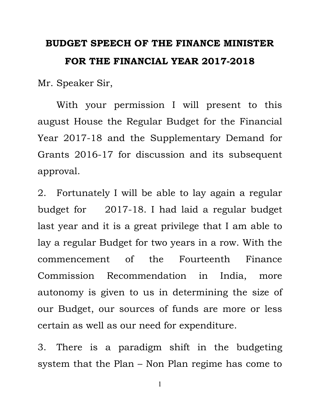# BUDGET SPEECH OF THE FINANCE MINISTER FOR THE FINANCIAL YEAR 2017-2018

Mr. Speaker Sir,

 With your permission I will present to this august House the Regular Budget for the Financial Year 2017-18 and the Supplementary Demand for Grants 2016-17 for discussion and its subsequent approval.

2. Fortunately I will be able to lay again a regular budget for 2017-18. I had laid a regular budget last year and it is a great privilege that I am able to lay a regular Budget for two years in a row. With the commencement of the Fourteenth Finance Commission Recommendation in India, more autonomy is given to us in determining the size of our Budget, our sources of funds are more or less certain as well as our need for expenditure.

3. There is a paradigm shift in the budgeting system that the Plan – Non Plan regime has come to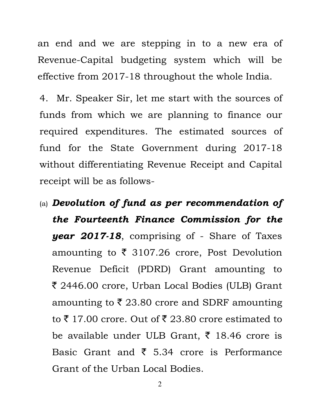an end and we are stepping in to a new era of Revenue-Capital budgeting system which will be effective from 2017-18 throughout the whole India.

4. Mr. Speaker Sir, let me start with the sources of funds from which we are planning to finance our required expenditures. The estimated sources of fund for the State Government during 2017-18 without differentiating Revenue Receipt and Capital receipt will be as follows-

(a) Devolution of fund as per recommendation of the Fourteenth Finance Commission for the year 2017-18, comprising of - Share of Taxes amounting to  $\bar{\tau}$  3107.26 crore, Post Devolution Revenue Deficit (PDRD) Grant amounting to ` 2446.00 crore, Urban Local Bodies (ULB) Grant amounting to  $\bar{\tau}$  23.80 crore and SDRF amounting to  $\bar{\xi}$  17.00 crore. Out of  $\bar{\xi}$  23.80 crore estimated to be available under ULB Grant,  $\bar{\tau}$  18.46 crore is Basic Grant and  $\bar{\xi}$  5.34 crore is Performance Grant of the Urban Local Bodies.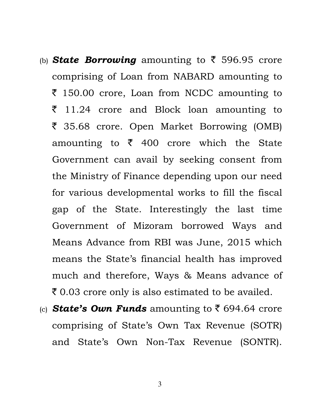- (b) **State Borrowing** amounting to  $\bar{\zeta}$  596.95 crore comprising of Loan from NABARD amounting to  $\bar{\xi}$  150.00 crore, Loan from NCDC amounting to  $\bar{z}$  11.24 crore and Block loan amounting to ` 35.68 crore. Open Market Borrowing (OMB) amounting to  $\bar{\tau}$  400 crore which the State Government can avail by seeking consent from the Ministry of Finance depending upon our need for various developmental works to fill the fiscal gap of the State. Interestingly the last time Government of Mizoram borrowed Ways and Means Advance from RBI was June, 2015 which means the State's financial health has improved much and therefore, Ways & Means advance of  $\bar{\xi}$  0.03 crore only is also estimated to be availed.
- (c) **State's Own Funds** amounting to  $\bar{\zeta}$  694.64 crore comprising of State's Own Tax Revenue (SOTR) and State's Own Non-Tax Revenue (SONTR).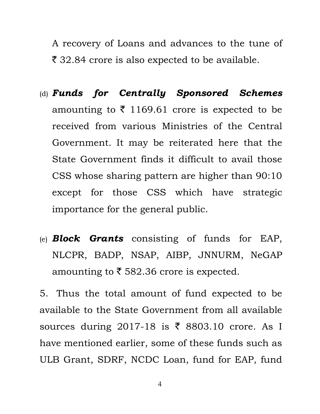A recovery of Loans and advances to the tune of  $\bar{\xi}$  32.84 crore is also expected to be available.

- (d) Funds for Centrally Sponsored Schemes amounting to  $\bar{\tau}$  1169.61 crore is expected to be received from various Ministries of the Central Government. It may be reiterated here that the State Government finds it difficult to avail those CSS whose sharing pattern are higher than 90:10 except for those CSS which have strategic importance for the general public.
- (e) **Block Grants** consisting of funds for EAP, NLCPR, BADP, NSAP, AIBP, JNNURM, NeGAP amounting to  $\bar{\tau}$  582.36 crore is expected.

5. Thus the total amount of fund expected to be available to the State Government from all available sources during 2017-18 is  $\bar{\tau}$  8803.10 crore. As I have mentioned earlier, some of these funds such as ULB Grant, SDRF, NCDC Loan, fund for EAP, fund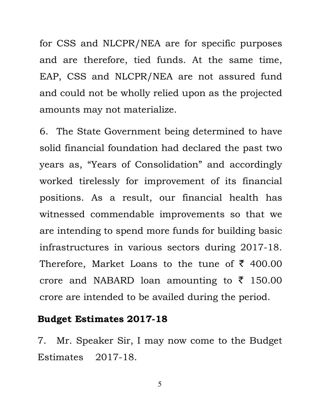for CSS and NLCPR/NEA are for specific purposes and are therefore, tied funds. At the same time, EAP, CSS and NLCPR/NEA are not assured fund and could not be wholly relied upon as the projected amounts may not materialize.

6. The State Government being determined to have solid financial foundation had declared the past two years as, "Years of Consolidation" and accordingly worked tirelessly for improvement of its financial positions. As a result, our financial health has witnessed commendable improvements so that we are intending to spend more funds for building basic infrastructures in various sectors during 2017-18. Therefore, Market Loans to the tune of  $\bar{\tau}$  400.00 crore and NABARD loan amounting to  $\bar{\tau}$  150.00 crore are intended to be availed during the period.

#### Budget Estimates 2017-18

7. Mr. Speaker Sir, I may now come to the Budget Estimates 2017-18.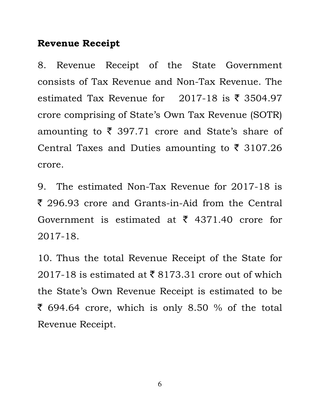### Revenue Receipt

8. Revenue Receipt of the State Government consists of Tax Revenue and Non-Tax Revenue. The estimated Tax Revenue for 2017-18 is  $\bar{\tau}$  3504.97 crore comprising of State's Own Tax Revenue (SOTR) amounting to  $\bar{\tau}$  397.71 crore and State's share of Central Taxes and Duties amounting to  $\bar{\tau}$  3107.26 crore.

9. The estimated Non-Tax Revenue for 2017-18 is  $\bar{\xi}$  296.93 crore and Grants-in-Aid from the Central Government is estimated at  $\bar{\tau}$  4371.40 crore for 2017-18.

10. Thus the total Revenue Receipt of the State for 2017-18 is estimated at  $\bar{\xi}$  8173.31 crore out of which the State's Own Revenue Receipt is estimated to be  $\bar{\xi}$  694.64 crore, which is only 8.50 % of the total Revenue Receipt.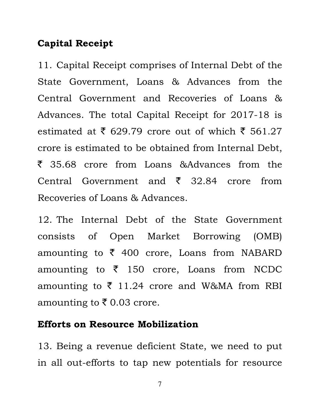# Capital Receipt

11. Capital Receipt comprises of Internal Debt of the State Government, Loans & Advances from the Central Government and Recoveries of Loans & Advances. The total Capital Receipt for 2017-18 is estimated at  $\bar{\tau}$  629.79 crore out of which  $\bar{\tau}$  561.27 crore is estimated to be obtained from Internal Debt, ` 35.68 crore from Loans &Advances from the Central Government and  $\bar{\xi}$  32.84 crore from Recoveries of Loans & Advances.

12. The Internal Debt of the State Government consists of Open Market Borrowing (OMB) amounting to  $\bar{\zeta}$  400 crore, Loans from NABARD amounting to  $\bar{\tau}$  150 crore, Loans from NCDC amounting to  $\overline{\xi}$  11.24 crore and W&MA from RBI amounting to  $\bar{\tau}$  0.03 crore.

#### Efforts on Resource Mobilization

13. Being a revenue deficient State, we need to put in all out-efforts to tap new potentials for resource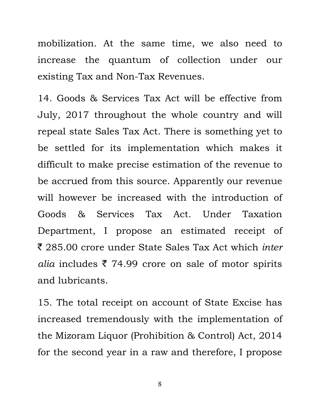mobilization. At the same time, we also need to increase the quantum of collection under our existing Tax and Non-Tax Revenues.

14. Goods & Services Tax Act will be effective from July, 2017 throughout the whole country and will repeal state Sales Tax Act. There is something yet to be settled for its implementation which makes it difficult to make precise estimation of the revenue to be accrued from this source. Apparently our revenue will however be increased with the introduction of Goods & Services Tax Act. Under Taxation Department, I propose an estimated receipt of ₹ 285.00 crore under State Sales Tax Act which *inter* alia includes  $\bar{\tau}$  74.99 crore on sale of motor spirits and lubricants.

15. The total receipt on account of State Excise has increased tremendously with the implementation of the Mizoram Liquor (Prohibition & Control) Act, 2014 for the second year in a raw and therefore, I propose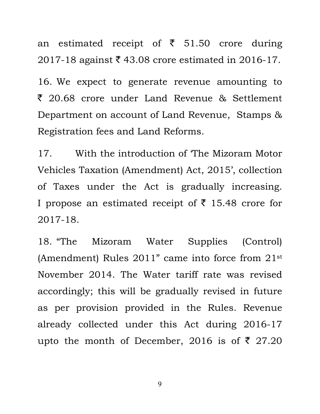an estimated receipt of  $\bar{\tau}$  51.50 crore during 2017-18 against  $\bar{\xi}$  43.08 crore estimated in 2016-17.

16. We expect to generate revenue amounting to ` 20.68 crore under Land Revenue & Settlement Department on account of Land Revenue, Stamps & Registration fees and Land Reforms.

17. With the introduction of 'The Mizoram Motor Vehicles Taxation (Amendment) Act, 2015', collection of Taxes under the Act is gradually increasing. I propose an estimated receipt of  $\bar{\tau}$  15.48 crore for 2017-18.

18. "The Mizoram Water Supplies (Control) (Amendment) Rules 2011" came into force from 21st November 2014. The Water tariff rate was revised accordingly; this will be gradually revised in future as per provision provided in the Rules. Revenue already collected under this Act during 2016-17 upto the month of December, 2016 is of  $\bar{\tau}$  27.20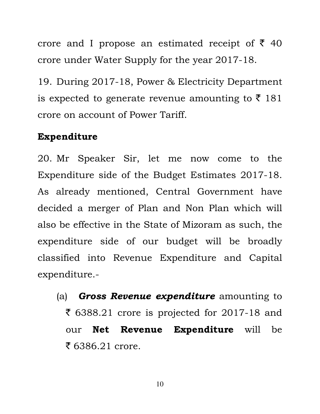crore and I propose an estimated receipt of  $\bar{\xi}$  40 crore under Water Supply for the year 2017-18.

19. During 2017-18, Power & Electricity Department is expected to generate revenue amounting to  $\bar{\tau}$  181 crore on account of Power Tariff.

#### Expenditure

20. Mr Speaker Sir, let me now come to the Expenditure side of the Budget Estimates 2017-18. As already mentioned, Central Government have decided a merger of Plan and Non Plan which will also be effective in the State of Mizoram as such, the expenditure side of our budget will be broadly classified into Revenue Expenditure and Capital expenditure.-

(a) **Gross Revenue expenditure** amounting to  $\bar{\xi}$  6388.21 crore is projected for 2017-18 and our Net Revenue Expenditure will be  $\bar{z}$  6386.21 crore.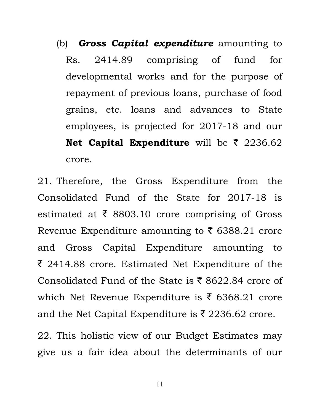(b) **Gross Capital expenditure** amounting to Rs. 2414.89 comprising of fund for developmental works and for the purpose of repayment of previous loans, purchase of food grains, etc. loans and advances to State employees, is projected for 2017-18 and our Net Capital Expenditure will be  $\bar{\tau}$  2236.62 crore.

21. Therefore, the Gross Expenditure from the Consolidated Fund of the State for 2017-18 is estimated at  $\bar{\tau}$  8803.10 crore comprising of Gross Revenue Expenditure amounting to  $\bar{\tau}$  6388.21 crore and Gross Capital Expenditure amounting to  $\bar{\xi}$  2414.88 crore. Estimated Net Expenditure of the Consolidated Fund of the State is  $\bar{\xi}$  8622.84 crore of which Net Revenue Expenditure is  $\bar{\tau}$  6368.21 crore and the Net Capital Expenditure is  $\bar{\tau}$  2236.62 crore.

22. This holistic view of our Budget Estimates may give us a fair idea about the determinants of our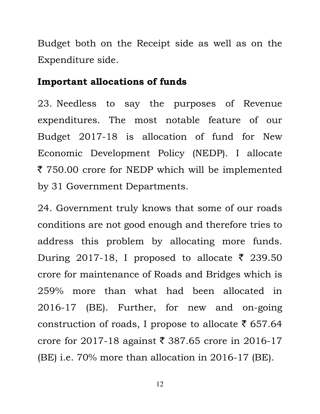Budget both on the Receipt side as well as on the Expenditure side.

#### Important allocations of funds

23. Needless to say the purposes of Revenue expenditures. The most notable feature of our Budget 2017-18 is allocation of fund for New Economic Development Policy (NEDP). I allocate ₹ 750.00 crore for NEDP which will be implemented by 31 Government Departments.

24. Government truly knows that some of our roads conditions are not good enough and therefore tries to address this problem by allocating more funds. During 2017-18, I proposed to allocate  $\bar{\tau}$  239.50 crore for maintenance of Roads and Bridges which is 259% more than what had been allocated in 2016-17 (BE). Further, for new and on-going construction of roads, I propose to allocate  $\bar{\tau}$  657.64 crore for 2017-18 against  $\bar{\xi}$  387.65 crore in 2016-17 (BE) i.e. 70% more than allocation in 2016-17 (BE).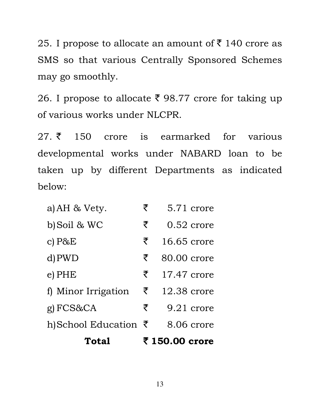25. I propose to allocate an amount of  $\bar{\tau}$  140 crore as SMS so that various Centrally Sponsored Schemes may go smoothly.

26. I propose to allocate ₹ 98.77 crore for taking up of various works under NLCPR.

 $27. \overline{5}$  150 crore is earmarked for various developmental works under NABARD loan to be taken up by different Departments as indicated below:

| Total                           |   | ₹ 150.00 crore |
|---------------------------------|---|----------------|
| h)School Education $\bar{\tau}$ |   | 8.06 crore     |
| g) FCS&CA                       | ₹ | 9.21 crore     |
| f) Minor Irrigation             | ₹ | 12.38 crore    |
| $e$ ) PHE                       | ₹ | 17.47 crore    |
| d) PWD                          | ₹ | 80.00 crore    |
| c) $P&E$                        | ₹ | 16.65 crore    |
| b) Soil & WC                    | ₹ | $0.52$ crore   |
| a) AH & Vety.                   | ₹ | 5.71 crore     |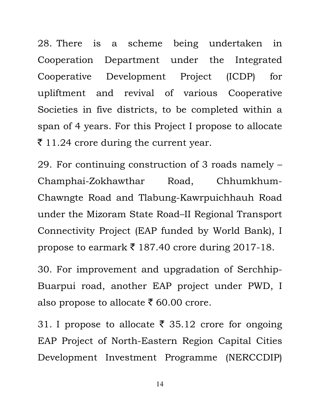28. There is a scheme being undertaken in Cooperation Department under the Integrated Cooperative Development Project (ICDP) for upliftment and revival of various Cooperative Societies in five districts, to be completed within a span of 4 years. For this Project I propose to allocate  $\bar{\tau}$  11.24 crore during the current year.

29. For continuing construction of 3 roads namely – Champhai-Zokhawthar Road, Chhumkhum-Chawngte Road and Tlabung-Kawrpuichhauh Road under the Mizoram State Road–II Regional Transport Connectivity Project (EAP funded by World Bank), I propose to earmark  $\bar{\tau}$  187.40 crore during 2017-18.

30. For improvement and upgradation of Serchhip-Buarpui road, another EAP project under PWD, I also propose to allocate  $\bar{\xi}$  60.00 crore.

31. I propose to allocate  $\bar{\xi}$  35.12 crore for ongoing EAP Project of North-Eastern Region Capital Cities Development Investment Programme (NERCCDIP)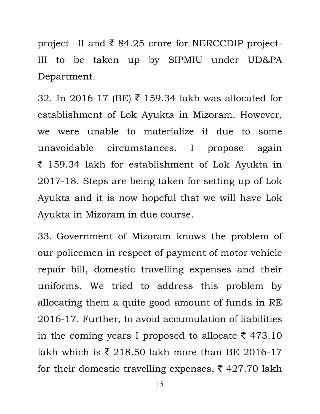project –II and  $\bar{\xi}$  84.25 crore for NERCCDIP project-III to be taken up by SIPMIU under UD&PA Department.

32. In 2016-17 (BE)  $\bar{\tau}$  159.34 lakh was allocated for establishment of Lok Ayukta in Mizoram. However, we were unable to materialize it due to some unavoidable circumstances. I propose again  $\bar{\tau}$  159.34 lakh for establishment of Lok Ayukta in 2017-18. Steps are being taken for setting up of Lok Ayukta and it is now hopeful that we will have Lok Ayukta in Mizoram in due course.

33. Government of Mizoram knows the problem of our policemen in respect of payment of motor vehicle repair bill, domestic travelling expenses and their uniforms. We tried to address this problem by allocating them a quite good amount of funds in RE 2016-17. Further, to avoid accumulation of liabilities in the coming years I proposed to allocate  $\bar{\tau}$  473.10 lakh which is  $\bar{\xi}$  218.50 lakh more than BE 2016-17 for their domestic travelling expenses,  $\bar{\xi}$  427.70 lakh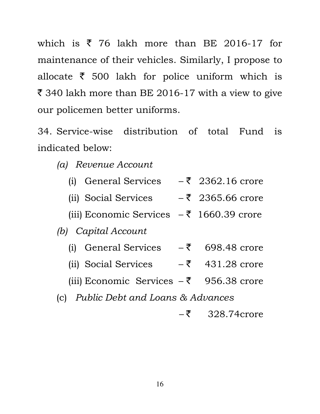which is  $\bar{\zeta}$  76 lakh more than BE 2016-17 for maintenance of their vehicles. Similarly, I propose to allocate  $\bar{\tau}$  500 lakh for police uniform which is  $\bar{\xi}$  340 lakh more than BE 2016-17 with a view to give our policemen better uniforms.

34. Service-wise distribution of total Fund is indicated below:

(a) Revenue Account

- (i) General Services  $-\bar{z}$  2362.16 crore
- (ii) Social Services  $\bar{\tau}$  2365.66 crore
- (iii) Economic Services  $-\bar{z}$  1660.39 crore

(b) Capital Account

- (i) General Services  $-\bar{z}$  698.48 crore
- (ii) Social Services  $\bar{z}$  431.28 crore
- (iii) Economic Services  $-\bar{z}$  956.38 crore
- (c) Public Debt and Loans & Advances
	- $-\bar{z}$  328.74crore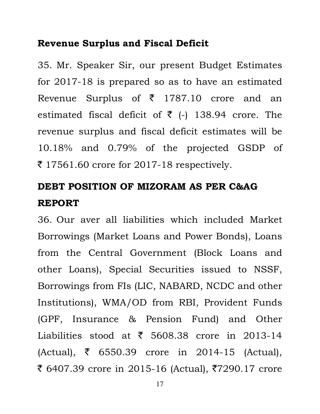### Revenue Surplus and Fiscal Deficit

35. Mr. Speaker Sir, our present Budget Estimates for 2017-18 is prepared so as to have an estimated Revenue Surplus of  $\bar{\tau}$  1787.10 crore and an estimated fiscal deficit of  $\bar{\tau}$  (-) 138.94 crore. The revenue surplus and fiscal deficit estimates will be 10.18% and 0.79% of the projected GSDP of  $\bar{\tau}$  17561.60 crore for 2017-18 respectively.

# DEBT POSITION OF MIZORAM AS PER C&AG REPORT

36. Our aver all liabilities which included Market Borrowings (Market Loans and Power Bonds), Loans from the Central Government (Block Loans and other Loans), Special Securities issued to NSSF, Borrowings from FIs (LIC, NABARD, NCDC and other Institutions), WMA/OD from RBI, Provident Funds (GPF, Insurance & Pension Fund) and Other Liabilities stood at  $\bar{\tau}$  5608.38 crore in 2013-14  $(Actual), \; \bar{\zeta}$  6550.39 crore in 2014-15 (Actual), ₹ 6407.39 crore in 2015-16 (Actual), ₹7290.17 crore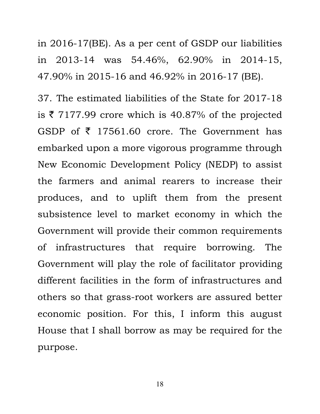in 2016-17(BE). As a per cent of GSDP our liabilities in 2013-14 was 54.46%, 62.90% in 2014-15, 47.90% in 2015-16 and 46.92% in 2016-17 (BE).

37. The estimated liabilities of the State for 2017-18 is  $\bar{\tau}$  7177.99 crore which is 40.87% of the projected GSDP of  $\bar{\tau}$  17561.60 crore. The Government has embarked upon a more vigorous programme through New Economic Development Policy (NEDP) to assist the farmers and animal rearers to increase their produces, and to uplift them from the present subsistence level to market economy in which the Government will provide their common requirements of infrastructures that require borrowing. The Government will play the role of facilitator providing different facilities in the form of infrastructures and others so that grass-root workers are assured better economic position. For this, I inform this august House that I shall borrow as may be required for the purpose.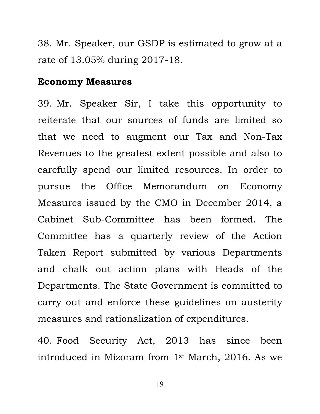38. Mr. Speaker, our GSDP is estimated to grow at a rate of 13.05% during 2017-18.

#### Economy Measures

39. Mr. Speaker Sir, I take this opportunity to reiterate that our sources of funds are limited so that we need to augment our Tax and Non-Tax Revenues to the greatest extent possible and also to carefully spend our limited resources. In order to pursue the Office Memorandum on Economy Measures issued by the CMO in December 2014, a Cabinet Sub-Committee has been formed. The Committee has a quarterly review of the Action Taken Report submitted by various Departments and chalk out action plans with Heads of the Departments. The State Government is committed to carry out and enforce these guidelines on austerity measures and rationalization of expenditures.

40. Food Security Act, 2013 has since been introduced in Mizoram from 1st March, 2016. As we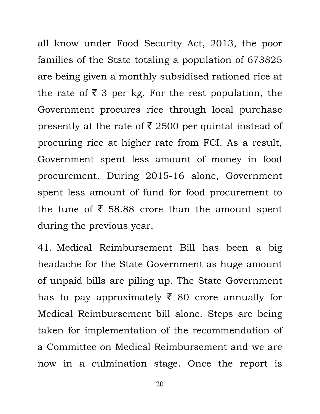all know under Food Security Act, 2013, the poor families of the State totaling a population of 673825 are being given a monthly subsidised rationed rice at the rate of  $\bar{\tau}$  3 per kg. For the rest population, the Government procures rice through local purchase presently at the rate of  $\bar{\xi}$  2500 per quintal instead of procuring rice at higher rate from FCI. As a result, Government spent less amount of money in food procurement. During 2015-16 alone, Government spent less amount of fund for food procurement to the tune of  $\bar{\tau}$  58.88 crore than the amount spent during the previous year.

41. Medical Reimbursement Bill has been a big headache for the State Government as huge amount of unpaid bills are piling up. The State Government has to pay approximately  $\bar{\xi}$  80 crore annually for Medical Reimbursement bill alone. Steps are being taken for implementation of the recommendation of a Committee on Medical Reimbursement and we are now in a culmination stage. Once the report is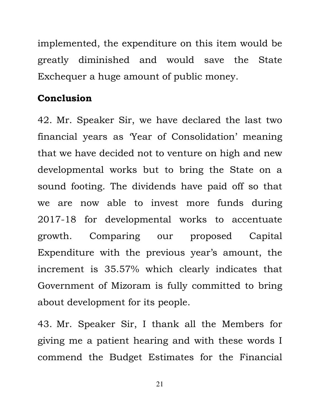implemented, the expenditure on this item would be greatly diminished and would save the State Exchequer a huge amount of public money.

## **Conclusion**

42. Mr. Speaker Sir, we have declared the last two financial years as 'Year of Consolidation' meaning that we have decided not to venture on high and new developmental works but to bring the State on a sound footing. The dividends have paid off so that we are now able to invest more funds during 2017-18 for developmental works to accentuate growth. Comparing our proposed Capital Expenditure with the previous year's amount, the increment is 35.57% which clearly indicates that Government of Mizoram is fully committed to bring about development for its people.

43. Mr. Speaker Sir, I thank all the Members for giving me a patient hearing and with these words I commend the Budget Estimates for the Financial